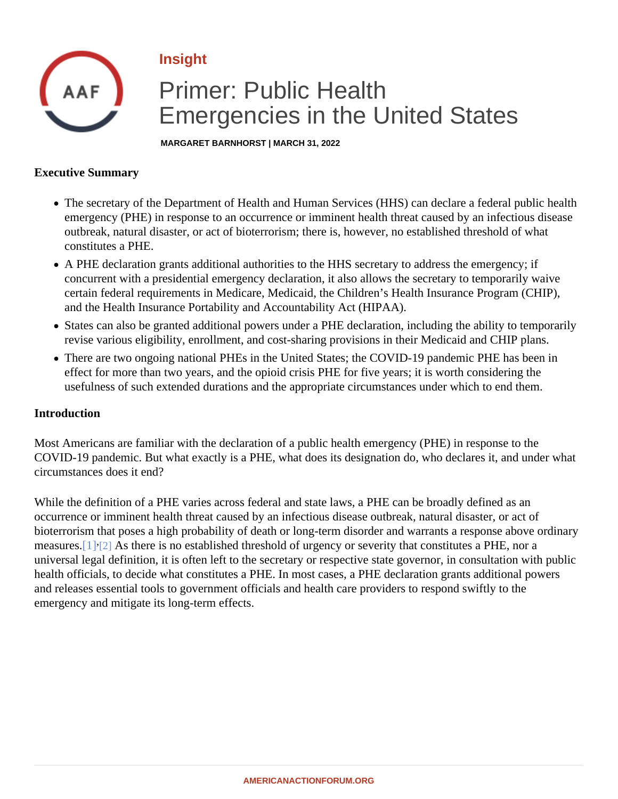# <span id="page-0-0"></span>Insight

# Primer: Public Health Emergencies in the United States

MARGARET BARNHORST | MARCH 31, 2022

#### Executive Summary

- The secretary of the Department of Health and Human Services (HHS) can declare a federal public health emergency (PHE) in response to an occurrence or imminent health threat caused by an infectious disea outbreak, natural disaster, or act of bioterrorism; there is, however, no established threshold of what constitutes a PHE.
- A PHE declaration grants additional authorities to the HHS secretary to address the emergency; if concurrent with a presidential emergency declaration, it also allows the secretary to temporarily waive certain federal requirements in Medicare, Medicaid, the Children's Health Insurance Program (CHIP), and the Health Insurance Portability and Accountability Act (HIPAA).
- States can also be granted additional powers under a PHE declaration, including the ability to temporari revise various eligibility, enrollment, and cost-sharing provisions in their Medicaid and CHIP plans.
- There are two ongoing national PHEs in the United States; the COVID-19 pandemic PHE has been in effect for more than two years, and the opioid crisis PHE for five years; it is worth considering the usefulness of such extended durations and the appropriate circumstances under which to end them.

#### Introduction

Most Americans are familiar with the declaration of a public health emergency (PHE) in response to the COVID-19 pandemic. But what exactly is a PHE, what does its designation do, who declares it, and under wh circumstances does it end?

While the definition of a PHE varies across federal and state laws, a PHE can be broadly defined as an occurrence or imminent health threat caused by an infectious disease outbreak, natural disaster, or act of bioterrorism that poses a high probability of death or long-term disorder and warrants a response above ordin measures. <sup>[\[1\]](#page-6-0)</sup>[\[2\]](#page-6-0) As there is no established threshold of urgency or severity that constitutes a PHE, nor a universal legal definition, it is often left to the secretary or respective state governor, in consultation with publi health officials, to decide what constitutes a PHE. In most cases, a PHE declaration grants additional powers and releases essential tools to government officials and health care providers to respond swiftly to the emergency and mitigate its long-term effects.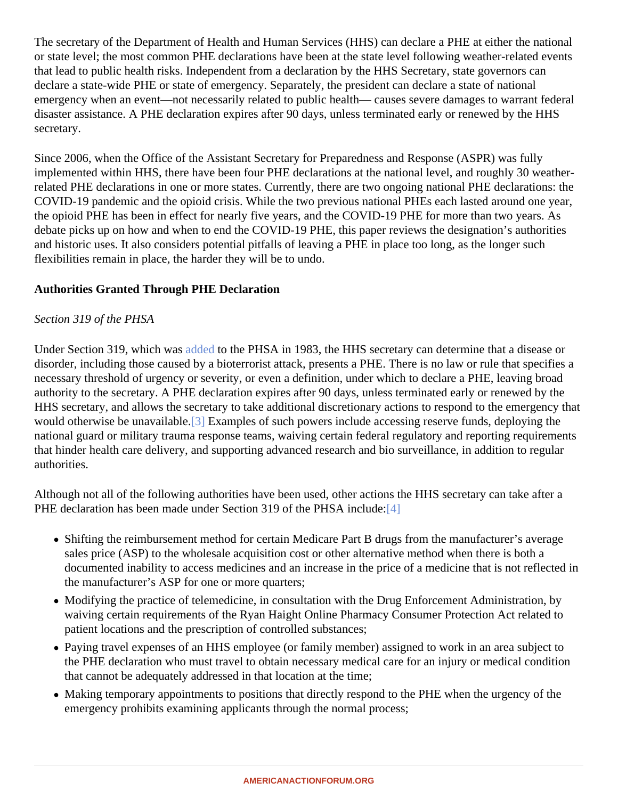<span id="page-1-0"></span>The secretary of the Department of Health and Human Services (HHS) can declare a PHE at either the national or state level; the most common PHE declarations have been at the state level following weather-related ever that lead to public health risks. Independent from a declaration by the HHS Secretary, state governors can declare a state-wide PHE or state of emergency. Separately, the president can declare a state of national emergency when an event—not necessarily related to public health— causes severe damages to warrant fed disaster assistance. A PHE declaration expires after 90 days, unless terminated early or renewed by the HHS secretary.

Since 2006, when the Office of the Assistant Secretary for Preparedness and Response (ASPR) was fully implemented within HHS, there have been four PHE declarations at the national level, and roughly 30 weatherrelated PHE declarations in one or more states. Currently, there are two ongoing national PHE declarations: t COVID-19 pandemic and the opioid crisis. While the two previous national PHEs each lasted around one year, the opioid PHE has been in effect for nearly five years, and the COVID-19 PHE for more than two years. As debate picks up on how and when to end the COVID-19 PHE, this paper reviews the designation's authorities and historic uses. It also considers potential pitfalls of leaving a PHE in place too long, as the longer such flexibilities remain in place, the harder they will be to undo.

Authorities Granted Through PHE Declaration

## Section 319 of the PHSA

Under Section 319, which was decto the PHSA in 1983, the HHS secretary can determine that a disease or disorder, including those caused by a bioterrorist attack, presents a PHE. There is no law or rule that specifies a necessary threshold of urgency or severity, or even a definition, under which to declare a PHE, leaving broad authority to the secretary. A PHE declaration expires after 90 days, unless terminated early or renewed by the HHS secretary, and allows the secretary to take additional discretionary actions to respond to the emergency would otherwise be unavaila[ble.](#page-7-0) Examples of such powers include accessing reserve funds, deploying the national guard or military trauma response teams, waiving certain federal regulatory and reporting requiremer that hinder health care delivery, and supporting advanced research and bio surveillance, in addition to regula authorities.

Although not all of the following authorities have been used, other actions the HHS secretary can take after a PHE declaration has been made under Section 319 of the PHSA indude:

- Shifting the reimbursement method for certain Medicare Part B drugs from the manufacturer's average sales price (ASP) to the wholesale acquisition cost or other alternative method when there is both a documented inability to access medicines and an increase in the price of a medicine that is not reflected the manufacturer's ASP for one or more quarters;
- Modifying the practice of telemedicine, in consultation with the Drug Enforcement Administration, by waiving certain requirements of the Ryan Haight Online Pharmacy Consumer Protection Act related to patient locations and the prescription of controlled substances;
- Paying travel expenses of an HHS employee (or family member) assigned to work in an area subject to the PHE declaration who must travel to obtain necessary medical care for an injury or medical condition that cannot be adequately addressed in that location at the time;
- Making temporary appointments to positions that directly respond to the PHE when the urgency of the emergency prohibits examining applicants through the normal process;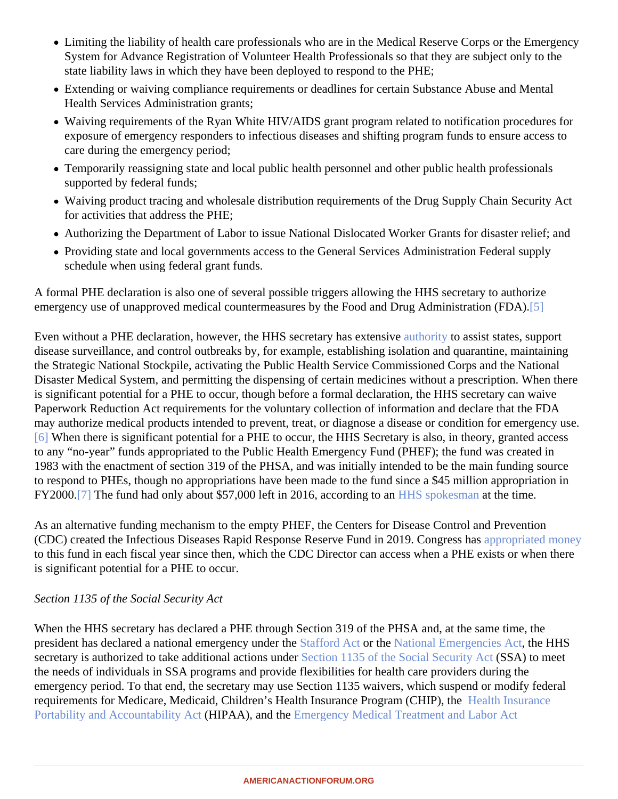- <span id="page-2-0"></span>• Limiting the liability of health care professionals who are in the Medical Reserve Corps or the Emergenc System for Advance Registration of Volunteer Health Professionals so that they are subject only to the state liability laws in which they have been deployed to respond to the PHE;
- Extending or waiving compliance requirements or deadlines for certain Substance Abuse and Mental Health Services Administration grants;
- Waiving requirements of the Ryan White HIV/AIDS grant program related to notification procedures for exposure of emergency responders to infectious diseases and shifting program funds to ensure access care during the emergency period;
- Temporarily reassigning state and local public health personnel and other public health professionals supported by federal funds;
- Waiving product tracing and wholesale distribution requirements of the Drug Supply Chain Security Act for activities that address the PHE;
- Authorizing the Department of Labor to issue National Dislocated Worker Grants for disaster relief; and
- Providing state and local governments access to the General Services Administration Federal supply schedule when using federal grant funds.

A formal PHE declaration is also one of several possible triggers allowing the HHS secretary to authorize emergency use of unapproved medical countermeasures by the Food and Drug Administrati[on \(](#page-7-0)FDA).

Even without a PHE declaration, however, the HHS secretary has extensive ty to assist states, support disease surveillance, and control outbreaks by, for example, establishing isolation and quarantine, maintainin the Strategic National Stockpile, activating the Public Health Service Commissioned Corps and the National Disaster Medical System, and permitting the dispensing of certain medicines without a prescription. When the is significant potential for a PHE to occur, though before a formal declaration, the HHS secretary can waive Paperwork Reduction Act requirements for the voluntary collection of information and declare that the FDA may authorize medical products intended to prevent, treat, or diagnose a disease or condition for emergency [\[6\]](#page-7-0) When there is significant potential for a PHE to occur, the HHS Secretary is also, in theory, granted acces to any "no-year" funds appropriated to the Public Health Emergency Fund (PHEF); the fund was created in 1983 with the enactment of section 319 of the PHSA, and was initially intended to be the main funding source to respond to PHEs, though no appropriations have been made to the fund since a \$45 million appropriation in FY2000<sup>[7]</sup>The fund had only about \$57,000 left in 2016, according to the spokesman the time.

As an alternative funding mechanism to the empty PHEF, the Centers for Disease Control and Prevention (CDC) created the Infectious Diseases Rapid Response Reserve Fund in 2019. Congress masted money to this fund in each fiscal year since then, which the CDC Director can access when a PHE exists or when the is significant potential for a PHE to occur.

# Section 1135 of the Social Security Act

When the HHS secretary has declared a PHE through Section 319 of the PHSA and, at the same time, the president has declared a national emergency undertal ford Actor the [National Emergencies A](�� h t t p s : / / w w w . c o n g r e s s . g o v / b i l l / 9 4 t h - c o n g r e s s / h o u s e - b i l l / 3 8 8 4)cthe HHS secretary is authorized to take additional actions [under Section 1135 of the Social Security A](�� h t t p s : / / w w w . s s a . g o v / O P _ H o m e / s s a c t / t i t l e 1 1 / 1 1 3 5 . h t m)SSA)to meet the needs of individuals in SSA programs and provide flexibilities for health care providers during the emergency period. To that end, the secretary may use Section 1135 waivers, which suspend or modify federally requirements for Medicare, Medicaid, Children's Health Insurance Program (CHIP) et the Insurance [Portability and Accountability Ac](�� h t t p s : / / w w w . a m e r i c a n a c t i o n f o r u m . o r g / i n s i g h t / p r i m e r - t h e - h e a l t h - i n s u r a n c e - p o r t a b i l i t y - a n d - a c c o u n t a b i l i t y - a c t /)tHIPAA),and th[e Emergency Medical Treatment and Labor](�� h t t p s : / / w w w . h h s . g o v / g u i d a n c e / d o c u m e n t / e m e r g e n c y - m e d i c a l - t r e a t m e n t - l a b o r - a c t - e m t a l a - 0) Act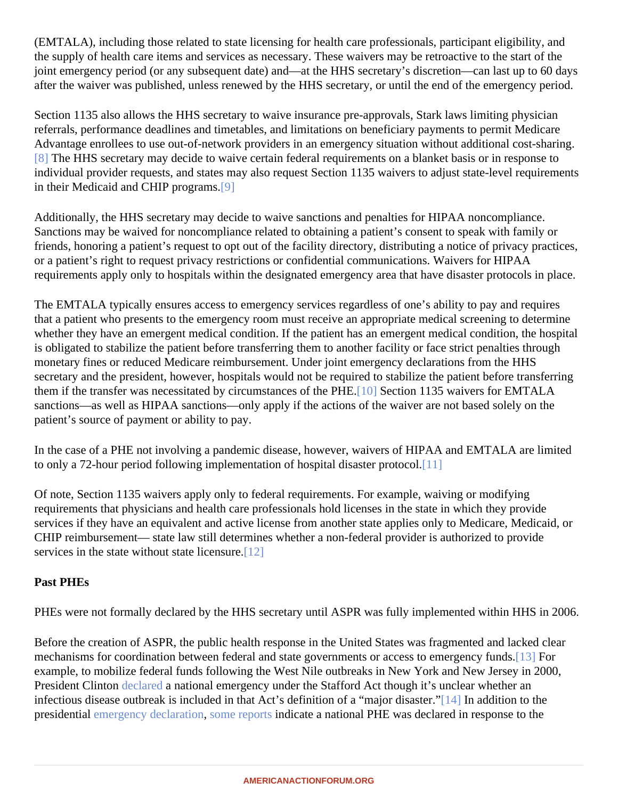<span id="page-3-0"></span>(EMTALA), including those related to state licensing for health care professionals, participant eligibility, and the supply of health care items and services as necessary. These waivers may be retroactive to the start of the joint emergency period (or any subsequent date) and—at the HHS secretary's discretion—can last up to 60 d after the waiver was published, unless renewed by the HHS secretary, or until the end of the emergency period.

Section 1135 also allows the HHS secretary to waive insurance pre-approvals, Stark laws limiting physician referrals, performance deadlines and timetables, and limitations on beneficiary payments to permit Medicare Advantage enrollees to use out-of-network providers in an emergency situation without additional cost-sharing [\[8\]](#page-7-0) The HHS secretary may decide to waive certain federal requirements on a blanket basis or in response to individual provider requests, and states may also request Section 1135 waivers to adjust state-level requirem in their Medicaid and CHIP progra[ms.](#page-7-0)

Additionally, the HHS secretary may decide to waive sanctions and penalties for HIPAA noncompliance. Sanctions may be waived for noncompliance related to obtaining a patient's consent to speak with family or friends, honoring a patient's request to opt out of the facility directory, distributing a notice of privacy practices, or a patient's right to request privacy restrictions or confidential communications. Waivers for HIPAA requirements apply only to hospitals within the designated emergency area that have disaster protocols in pla

The EMTALA typically ensures access to emergency services regardless of one's ability to pay and requires that a patient who presents to the emergency room must receive an appropriate medical screening to determ whether they have an emergent medical condition. If the patient has an emergent medical condition, the hospital is obligated to stabilize the patient before transferring them to another facility or face strict penalties through monetary fines or reduced Medicare reimbursement. Under joint emergency declarations from the HHS secretary and the president, however, hospitals would not be required to stabilize the patient before transferri them if the transfer was necessitated by circumstances of th[e PH](#page-7-0)E ection 1135 waivers for EMTALA sanctions—as well as HIPAA sanctions—only apply if the actions of the waiver are not based solely on the patient's source of payment or ability to pay.

In the case of a PHE not involving a pandemic disease, however, waivers of HIPAA and EMTALA are limited to only a 72-hour period following implementation of hospital disaster pr[otoco](#page-7-0)l.

Of note, Section 1135 waivers apply only to federal requirements. For example, waiving or modifying requirements that physicians and health care professionals hold licenses in the state in which they provide services if they have an equivalent and active license from another state applies only to Medicare, Medicaid, CHIP reimbursement— state law still determines whether a non-federal provider is authorized to provide services in the state without state licen[sure](#page-7-0).

Past PHEs

PHEs were not formally declared by the HHS secretary until ASPR was fully implemented within HHS in 2006.

Before the creation of ASPR, the public health response in the United States was fragmented and lacked clear mechanisms for coordination between federal and state governments or access to emerg[ency](#page-7-0) florids. example, to mobilize federal funds following the West Nile outbreaks in New York and New Jersey in 2000, President Clinto[n declared](�� h t t p s : / / w w w . c n n . c o m / 2 0 0 0 / U S / 1 0 / 1 1 / w e s t . n i l e . e m e r g e n c y /) a national emergency under the Stafford Act though it's unclear whether an infectious disease outbreak is included in that Act's definition of a "major dis[aste](#page-7-0)r." addition to the presidentia[l emergency declaratio](�� h t t p s : / / w w w . f e d e r a l r e g i s t e r . g o v / d o c u m e n t s / 2 0 0 1 / 0 9 / 1 8 / 0 1 - 2 3 3 5 8 / d e c l a r a t i o n - o f - n a t i o n a l - e m e r g e n c y - b y - r e a s o n - o f - c e r t a i n - t e r r o r i s t - a t t a c k s)[n](�� h t t p s : / / w w w . p h e . g o v / e m e r g e n c y / n e w s / h e a l t h a c t i o n s / L i s t s / P u b l i c   H e a l t h   E m e r g e n c y   D e c l a r a t i o n s / A l l I t e m s . a s p x) ome[reports](�� h t t p s : / / c r s r e p o r t s . c o n g r e s s . g o v / p r o d u c t / p d f / R L / R L 3 3 0 9 6 / 7) indicate a national PHE was declared in response to the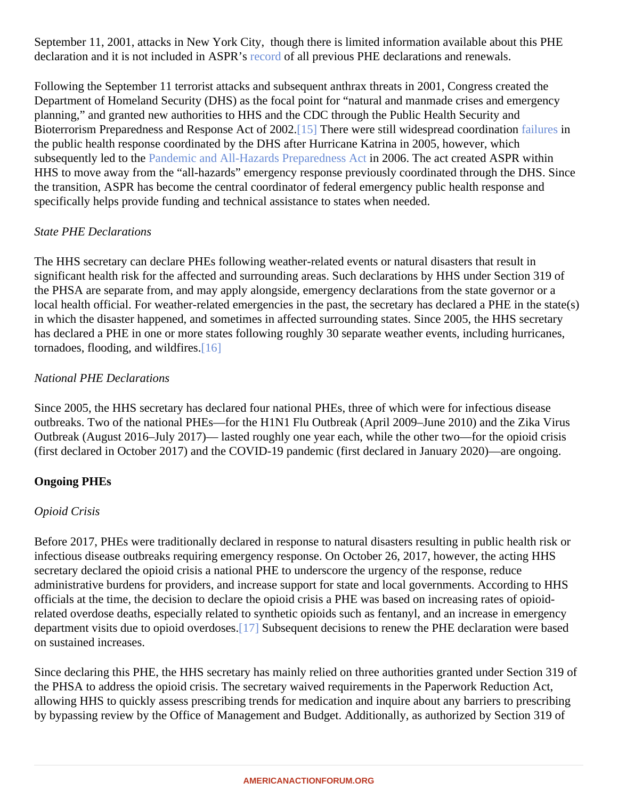<span id="page-4-0"></span>September 11, 2001, attacks in New York City, though there is limited information available about this PHE declaration and it is not included in ASPR<sub>essord</sub> of all previous PHE declarations and renewals.

Following the September 11 terrorist attacks and subsequent anthrax threats in 2001, Congress created the Department of Homeland Security (DHS) as the focal point for "natural and manmade crises and emergency planning," and granted new authorities to HHS and the CDC through the Public Health Security and Bioterrorism Preparedness and Response Act of [200](#page-7-0)2 There were still widespread coordination ures in the public health response coordinated by the DHS after Hurricane Katrina in 2005, however, which subsequently led to the andemic and All-Hazards Preparedness A2006. The act created ASPR within HHS to move away from the "all-hazards" emergency response previously coordinated through the DHS. Sing the transition, ASPR has become the central coordinator of federal emergency public health response and specifically helps provide funding and technical assistance to states when needed.

## State PHE Declarations

The HHS secretary can declare PHEs following weather-related events or natural disasters that result in significant health risk for the affected and surrounding areas. Such declarations by HHS under Section 319 of the PHSA are separate from, and may apply alongside, emergency declarations from the state governor or a local health official. For weather-related emergencies in the past, the secretary has declared a PHE in the sta in which the disaster happened, and sometimes in affected surrounding states. Since 2005, the HHS secretar has declared a PHE in one or more states following roughly 30 separate weather events, including hurricanes, tornadoes, flooding, and wildfires.  $6$ 

## National PHE Declarations

Since 2005, the HHS secretary has declared four national PHEs, three of which were for infectious disease outbreaks. Two of the national PHEs—for the H1N1 Flu Outbreak (April 2009–June 2010) and the Zika Virus Outbreak (August 2016–July 2017)— lasted roughly one year each, while the other two—for the opioid crisis (first declared in October 2017) and the COVID-19 pandemic (first declared in January 2020)—are ongoing.

# Ongoing PHEs

#### Opioid Crisis

Before 2017, PHEs were traditionally declared in response to natural disasters resulting in public health risk o infectious disease outbreaks requiring emergency response. On October 26, 2017, however, the acting HHS secretary declared the opioid crisis a national PHE to underscore the urgency of the response, reduce administrative burdens for providers, and increase support for state and local governments. According to HHS officials at the time, the decision to declare the opioid crisis a PHE was based on increasing rates of opioidrelated overdose deaths, especially related to synthetic opioids such as fentanyl, and an increase in emergen department visits due to opioid overdo[ses.](#page-7-0) Subsequent decisions to renew the PHE declaration were based on sustained increases.

Since declaring this PHE, the HHS secretary has mainly relied on three authorities granted under Section 319 the PHSA to address the opioid crisis. The secretary waived requirements in the Paperwork Reduction Act, allowing HHS to quickly assess prescribing trends for medication and inquire about any barriers to prescribing by bypassing review by the Office of Management and Budget. Additionally, as authorized by Section 319 of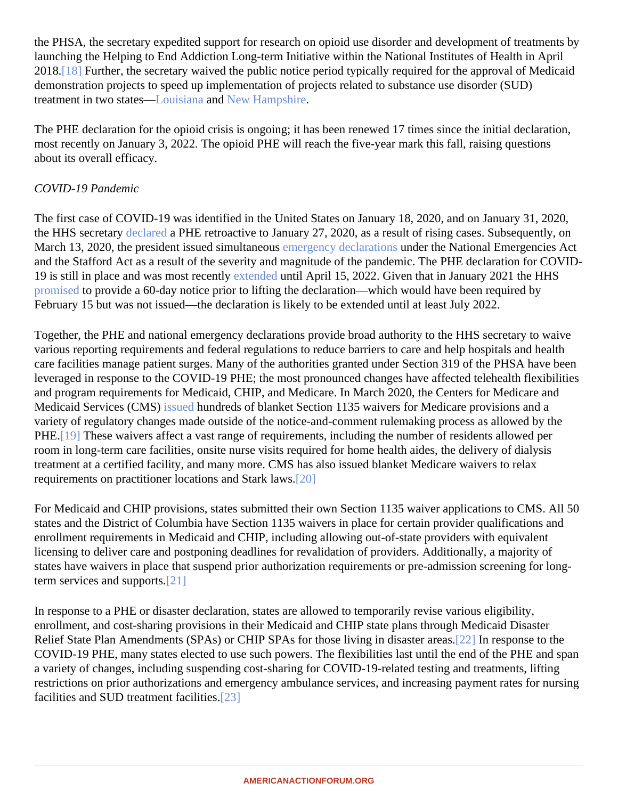<span id="page-5-0"></span>the PHSA, the secretary expedited support for research on opioid use disorder and development of treatment launching the Helping to End Addiction Long-term Initiative within the National Institutes of Health in April 2018<sup>[18]</sup> Further, the secretary waived the public notice period typically required for the approval of Medicaid demonstration projects to speed up implementation of projects related to substance use disorder (SUD) treatment in two states-buisiana an[d New Hampshir](�� h t t p s : / / w w w . m e d i c a i d . g o v / M e d i c a i d - C H I P - P r o g r a m - I n f o r m a t i o n / B y - T o p i c s / W a i v e r s / 1 1 1 5 / d o w n l o a d s / n h / n h - s u d - t r e a t m e n t - r e c o v e r y - a c c e s s - f s . p d f)e

The PHE declaration for the opioid crisis is ongoing; it has been renewed 17 times since the initial declaration, most recently on January 3, 2022. The opioid PHE will reach the five-year mark this fall, raising questions about its overall efficacy.

#### COVID-19 Pandemic

The first case of COVID-19 was identified in the United States on January 18, 2020, and on January 31, 2020, the HHS secretary eclared a PHE retroactive to January 27, 2020, as a result of rising cases. Subsequently, or March13, 2020, the president issued simultaneous gency declaration ander the National Emergencies Act and the Stafford Act as a result of the severity and magnitude of the pandemic. The PHE declaration for COV 19 is still in place and was most recently ended until April 15, 2022. Given that in January 2021 the HHS [promised](�� h t t p s : / / a s p r . h h s . g o v / l e g a l / P H E / P a g e s / L e t t e r - t o - G o v e r n o r s - o n - t h e - C O V I D - 1 9 - R e s p o n s e . a s p x) to provide a 60-day notice prior to lifting the declaration—which would have been required by February 15 but was not issued—the declaration is likely to be extended until at least July 2022.

Together, the PHE and national emergency declarations provide broad authority to the HHS secretary to waive various reporting requirements and federal regulations to reduce barriers to care and help hospitals and healt care facilities manage patient surges. Many of the authorities granted under Section 319 of the PHSA have be leveraged in response to the COVID-19 PHE; the most pronounced changes have affected telehealth flexibility and program requirements for Medicaid, CHIP, and Medicare. In March 2020, the Centers for Medicare and Medicaid Services (CMS\$ suechundreds of blanket Section 1135 waivers for Medicare provisions and a variety of regulatory changes made outside of the notice-and-comment rulemaking process as allowed by the PHE[.\[19\]](#page-7-0) These waivers affect a vast range of requirements, including the number of residents allowed per room in long-term care facilities, onsite nurse visits required for home health aides, the delivery of dialysis treatment at a certified facility, and many more. CMS has also issued blanket Medicare waivers to relax requirements on practitioner locations and Stark [200]s.

For Medicaid and CHIP provisions, states submitted their own Section 1135 waiver applications to CMS. All 5 states and the District of Columbia have Section 1135 waivers in place for certain provider qualifications and enrollment requirements in Medicaid and CHIP, including allowing out-of-state providers with equivalent licensing to deliver care and postponing deadlines for revalidation of providers. Additionally, a majority of states have waivers in place that suspend prior authorization requirements or pre-admission screening for lor term services and suppo $[25]$ 

In response to a PHE or disaster declaration, states are allowed to temporarily revise various eligibility, enrollment, and cost-sharing provisions in their Medicaid and CHIP state plans through Medicaid Disaster Relief State Plan Amendments (SPAs) or CHIP SPAs for those living in disaste 2and das esponse to the COVID-19 PHE, many states elected to use such powers. The flexibilities last until the end of the PHE and span a variety of changes, including suspending cost-sharing for COVID-19-related testing and treatments, lifting restrictions on prior authorizations and emergency ambulance services, and increasing payment rates for nur facilities and SUD treatment facilitie<sup>83</sup>]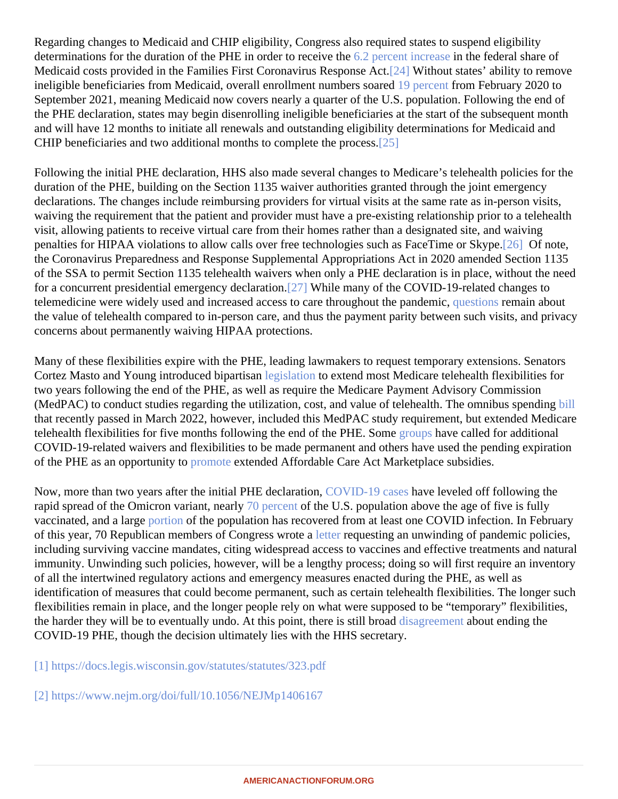<span id="page-6-0"></span>Regarding changes to Medicaid and CHIP eligibility, Congress also required states to suspend eligibility determinations for the duration of the PHE in order to receive the fersion the federal share of Medicaid costs provided in the Families First Coronavirus Respons<sup>24</sup> Multibout states' ability to remove ineligiblebeneficiaries from Medicaid, overall enrollment numbers soblet exercent from February 2020 to September 2021, meaning Medicaid now covers nearly a quarter of the U.S. population. Following the end of the PHE declaration, states may begin disenrolling ineligible beneficiaries at the start of the subsequent month and will have 12 months to initiate all renewals and outstanding eligibility determinations for Medicaid and CHIP beneficiaries and two additional months to complete the p[roces](#page-8-0)s.

Following the initial PHE declaration, HHS also made several changes to Medicare's telehealth policies for the duration of the PHE, building on the Section 1135 waiver authorities granted through the joint emergency declarations. The changes include reimbursing providers for virtual visits at the same rate as in-person visits, waiving the requirement that the patient and provider must have a pre-existing relationship prior to a telehealt visit, allowing patients to receive virtual care from their homes rather than a designated site, and waiving penalties for HIPAA violations to allow calls over free technologies such as FaceTime o[r Sky](#page-8-0)pe. note, the Coronavirus Preparedness and Response Supplemental Appropriations Act in 2020 amended Section 11 of the SSA to permit Section 1135 telehealth waivers when only a PHE declaration is in place, without the nee for a concurrent presidential emergency declar[ation](#page-8-0). While many of the COVID-19-related changes to telemedicine were widely used and increased access to care throughout the p[andemic,](�� h t t p s : / / w w w . a m e r i c a n a c t i o n f o r u m . o r g / w e e k l y - c h e c k u p / t e l e h e a l t h - p o l i c y - a f t e r - t h e - p a n d e m i c /) remain about the value of telehealth compared to in-person care, and thus the payment parity between such visits, and priv concerns about permanently waiving HIPAA protections.

Many of these flexibilities expire with the PHE, leading lawmakers to request temporary extensions. Senators Cortez Masto and Young introduced bipartisan slation to extend most Medicare telehealth flexibilities for two years following the end of the PHE, as well as require the Medicare Payment Advisory Commission (MedPAC) to conduct studies regarding the utilization, cost, and value of telehealth. The omnibus [spe](�� h t t p s : / / r u l e s . h o u s e . g o v / s i t e s / d e m o c r a t s . r u l e s . h o u s e . g o v / f i l e s / B I L L S - 1 1 7 H R 2 4 7 1 S A - R C P - 1 1 7 - 3 5 . p d f)nding that recently passed in March 2022, however, included this MedPAC study requirement, but extended Medicarely telehealth flexibilities for five months following the end of the PHE. Some pshave called for additional COVID-19-related waivers and flexibilities to be made permanent and others have used the pending expiration of the PHE as an opportunity to protect tended Affordable Care Act Marketplace subsidies.

Now,more than two years after the initial PHE declaration $V/D-19$  cases have leveled off following the rapidspread of the Omicron variant, nearly percent of the U.S. population above the age of five is fully vaccinated, and a largertion of the population has recovered from at least one COVID infection. In February of this year, 70 Republican members of Congress w[rote a](�� h t t p s : / / r e p u b l i c a n s - e n e r g y c o m m e r c e . h o u s e . g o v / w p - c o n t e n t / u p l o a d s / 2 0 2 2 / 0 2 / 2 0 2 2 . 0 2 . 0 7 - P H E - L e t t e r . p d f) requesting an unwinding of pandemic policies, including surviving vaccine mandates, citing widespread access to vaccines and effective treatments and natural immunity. Unwinding such policies, however, will be a lengthy process; doing so will first require an inventory of all the intertwined regulatory actions and emergency measures enacted during the PHE, as well as identification of measures that could become permanent, such as certain telehealth flexibilities. The longer su flexibilities remain in place, and the longer people rely on what were supposed to be "temporary" flexibilities, theharder they will be to eventually undo. At this point, there is still broad reement about ending the COVID-19 PHE, though the decision ultimately lies with the HHS secretary.

[\[1\]](#page-0-0) [https://docs.legis.wisconsin.gov/statutes/statutes/32](�� h t t p s : / / d o c s . l e g i s . w i s c o n s i n . g o v / s t a t u t e s / s t a t u t e s / 3 2 3 . p d f)3.pdf

[\[2\]](#page-0-0) [https://www.nejm.org/doi/full/10.1056/NEJMp14061](�� h t t p s : / / w w w . n e j m . o r g / d o i / f u l l / 1 0 . 1 0 5 6 / N E J M p 1 4 0 6 1 6 7)67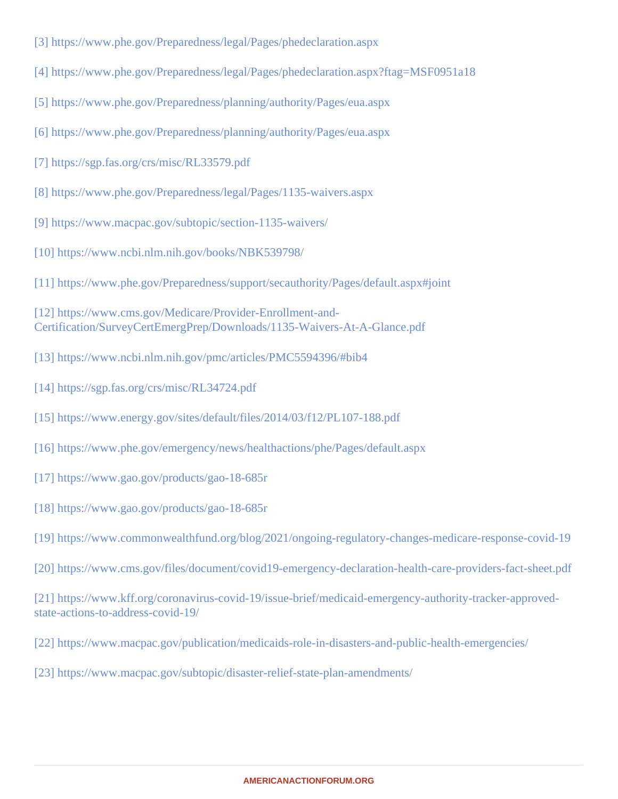- <span id="page-7-0"></span>[\[3\]](#page-1-0) [https://www.phe.gov/Preparedness/legal/Pages/phedeclaratio](�� h t t p s : / / w w w . p h e . g o v / P r e p a r e d n e s s / l e g a l / P a g e s / p h e d e c l a r a t i o n . a s p x)n.aspx
- [\[4\]](#page-1-0) [https://www.phe.gov/Preparedness/legal/Pages/phedeclaration.aspx?ftag=MSF](�� h t t p s : / / w w w . p h e . g o v / P r e p a r e d n e s s / l e g a l / P a g e s / p h e d e c l a r a t i o n . a s p x ? f t a g = M S F 0 9 5 1 a 1 8)0951a18
- [\[5\]](#page-2-0) [https://www.phe.gov/Preparedness/planning/authority/Pages/eu](�� h t t p s : / / w w w . p h e . g o v / P r e p a r e d n e s s / p l a n n i n g / a u t h o r i t y / P a g e s / e u a . a s p x)a.aspx
- [\[6\]](#page-2-0) [https://www.phe.gov/Preparedness/planning/authority/Pages/eu](�� h t t p s : / / w w w . p h e . g o v / P r e p a r e d n e s s / p l a n n i n g / a u t h o r i t y / P a g e s / e u a . a s p x)a.aspx
- [\[7\]](#page-2-0) [https://sgp.fas.org/crs/misc/RL33579.](�� h t t p s : / / s g p . f a s . o r g / c r s / m i s c / R L 3 3 5 7 9 . p d f)pdf
- [\[8\]](#page-3-0) [https://www.phe.gov/Preparedness/legal/Pages/1135-waiver](�� h t t p s : / / w w w . p h e . g o v / P r e p a r e d n e s s / l e g a l / P a g e s / 1 1 3 5 - w a i v e r s . a s p x)s.aspx
- [\[9\]](#page-3-0) [https://www.macpac.gov/subtopic/section-1135-waiv](�� h t t p s : / / w w w . m a c p a c . g o v / s u b t o p i c / s e c t i o n - 1 1 3 5 - w a i v e r s /)ers/
- [\[10\]](#page-3-0) [https://www.ncbi.nlm.nih.gov/books/NBK53979](�� h t t p s : / / w w w . n c b i . n l m . n i h . g o v / b o o k s / N B K 5 3 9 7 9 8 /)8/
- [\[11\]](#page-3-0) [https://www.phe.gov/Preparedness/support/secauthority/Pages/default.as](�� h t t p s : / / w w w . p h e . g o v / P r e p a r e d n e s s / s u p p o r t / s e c a u t h o r i t y / P a g e s / d e f a u l t . a s p x # j o i n t)px#joint

[\[12\]](#page-3-0) [https://www.cms.gov/Medicare/Provider-Enrollment-a](�� h t t p s : / / w w w . c m s . g o v / M e d i c a r e / P r o v i d e r - E n r o l l m e n t - a n d - C e r t i f i c a t i o n / S u r v e y C e r t E m e r g P r e p / D o w n l o a d s / 1 1 3 5 - W a i v e r s - A t - A - G l a n c e . p d f)nd-[Certification/SurveyCertEmergPrep/Downloads/1135-Waivers-At-A-Glanc](�� h t t p s : / / w w w . c m s . g o v / M e d i c a r e / P r o v i d e r - E n r o l l m e n t - a n d - C e r t i f i c a t i o n / S u r v e y C e r t E m e r g P r e p / D o w n l o a d s / 1 1 3 5 - W a i v e r s - A t - A - G l a n c e . p d f)e.pdf

- [\[13\]](#page-3-0) [https://www.ncbi.nlm.nih.gov/pmc/articles/PMC5594396/#b](�� h t t p s : / / w w w . n c b i . n l m . n i h . g o v / p m c / a r t i c l e s / P M C 5 5 9 4 3 9 6 / # b i b 4)ib4
- [\[14\]](#page-3-0) [https://sgp.fas.org/crs/misc/RL34724.](�� h t t p s : / / s g p . f a s . o r g / c r s / m i s c / R L 3 4 7 2 4 . p d f)pdf
- [\[15\]](#page-4-0) [https://www.energy.gov/sites/default/files/2014/03/f12/PL107-188](�� h t t p s : / / w w w . e n e r g y . g o v / s i t e s / d e f a u l t / f i l e s / 2 0 1 4 / 0 3 / f 1 2 / P L 1 0 7 - 1 8 8 . p d f).pdf
- [\[16\]](#page-4-0) [https://www.phe.gov/emergency/news/healthactions/phe/Pages/defau](�� h t t p s : / / w w w . p h e . g o v / e m e r g e n c y / n e w s / h e a l t h a c t i o n s / p h e / P a g e s / d e f a u l t . a s p x)lt.aspx
- [\[17\]](#page-4-0) [https://www.gao.gov/products/gao-18-6](�� h t t p s : / / w w w . g a o . g o v / p r o d u c t s / g a o - 1 8 - 6 8 5 r)85r
- [\[18\]](#page-5-0) [https://www.gao.gov/products/gao-18-6](�� h t t p s : / / w w w . g a o . g o v / p r o d u c t s / g a o - 1 8 - 6 8 5 r)85r
- [\[19\]](#page-5-0) [https://www.commonwealthfund.org/blog/2021/ongoing-regulatory-changes-medicare-response-](�� h t t p s : / / w w w . c o m m o n w e a l t h f u n d . o r g / b l o g / 2 0 2 1 / o n g o i n g - r e g u l a t o r y - c h a n g e s - m e d i c a r e - r e s p o n s e - c o v i d - 1 9)covid-19
- [\[20\]](#page-5-0) [https://www.cms.gov/files/document/covid19-emergency-declaration-health-care-providers-fact-s](�� h t t p s : / / w w w . c m s . g o v / f i l e s / d o c u m e n t / c o v i d 1 9 - e m e r g e n c y - d e c l a r a t i o n - h e a l t h - c a r e - p r o v i d e r s - f a c t - s h e e t . p d f)heet.pdf

[\[21\]](#page-5-0) [https://www.kff.org/coronavirus-covid-19/issue-brief/medicaid-emergency-authority-tracker-app](�� h t t p s : / / w w w . k f f . o r g / c o r o n a v i r u s - c o v i d - 1 9 / i s s u e - b r i e f / m e d i c a i d - e m e r g e n c y - a u t h o r i t y - t r a c k e r - a p p r o v e d - s t a t e - a c t i o n s - t o - a d d r e s s - c o v i d - 1 9 /)roved[state-actions-to-address-covid-](�� h t t p s : / / w w w . k f f . o r g / c o r o n a v i r u s - c o v i d - 1 9 / i s s u e - b r i e f / m e d i c a i d - e m e r g e n c y - a u t h o r i t y - t r a c k e r - a p p r o v e d - s t a t e - a c t i o n s - t o - a d d r e s s - c o v i d - 1 9 /)19/

- [\[22\]](#page-5-0) [https://www.macpac.gov/publication/medicaids-role-in-disasters-and-public-health-emerg](�� h t t p s : / / w w w . m a c p a c . g o v / p u b l i c a t i o n / m e d i c a i d s - r o l e - i n - d i s a s t e r s - a n d - p u b l i c - h e a l t h - e m e r g e n c i e s /)encies/
- [\[23\]](#page-5-0) [https://www.macpac.gov/subtopic/disaster-relief-state-plan-amendm](�� h t t p s : / / w w w . m a c p a c . g o v / s u b t o p i c / d i s a s t e r - r e l i e f - s t a t e - p l a n - a m e n d m e n t s /)ents/